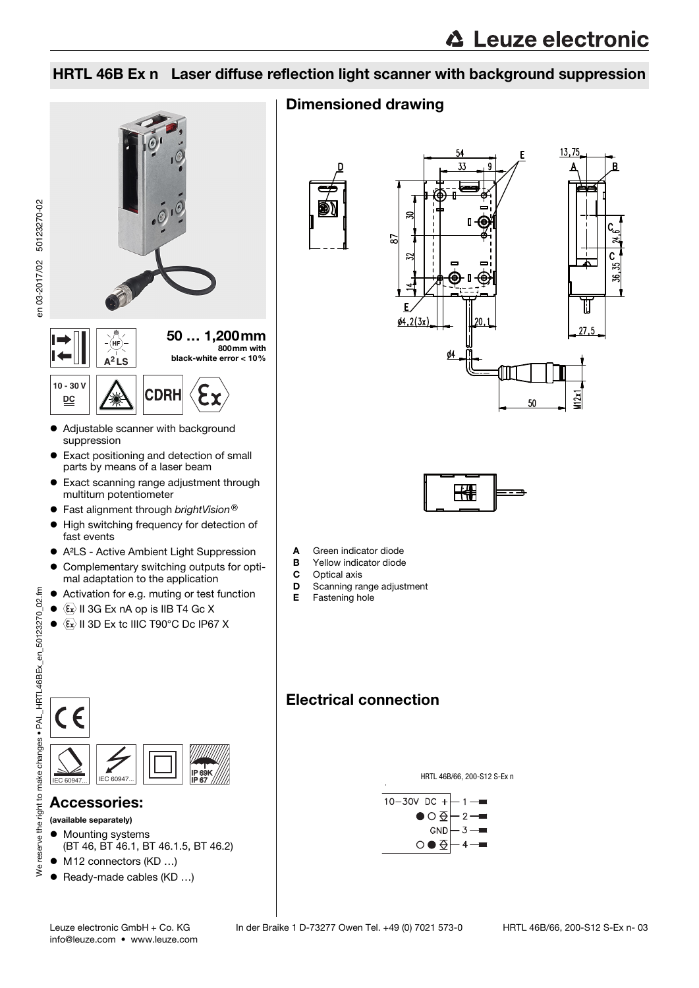### HRTL 46B Ex n Laser diffuse reflection light scanner with background suppression



### Dimensioned drawing







- A Green indicator diode
- **B** Yellow indicator diode<br>**C** Optical axis
- 
- **C** Optical axis<br>**D** Scanning ra **D** Scanning range adjustment
- Fastening hole

### Electrical connection



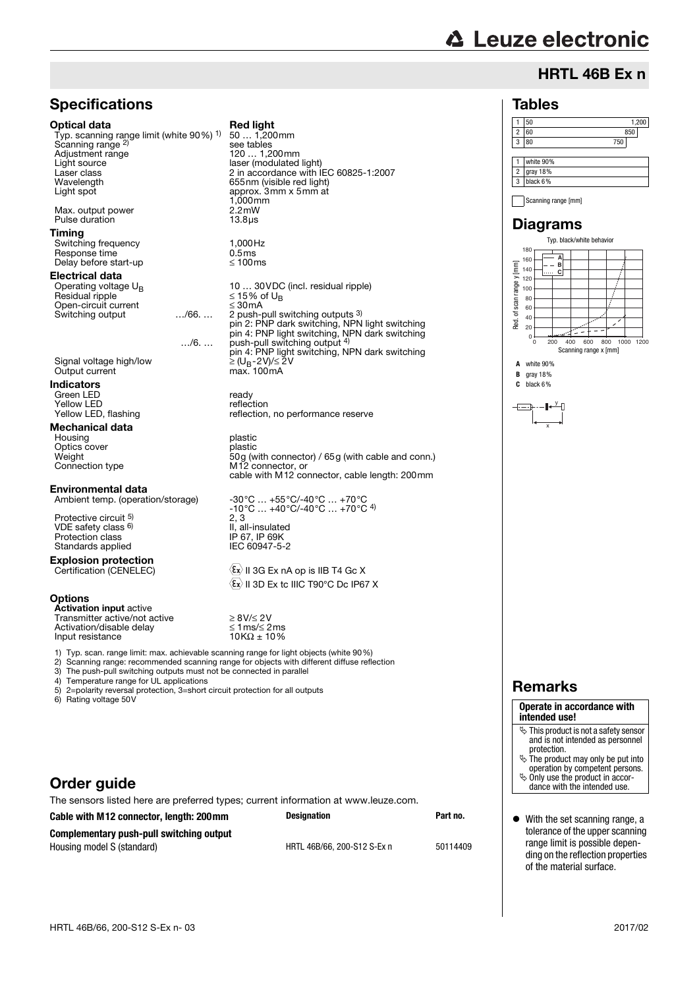# **∆ Leuze electronic**

### HRTL 46B Ex n

#### Tables

#### 1 50 1,200 2 60 850 3 80 750 1 white 90% 2 gray 18% 3 black 6%

Scanning range [mm]

#### Diagrams



**B** gray 18% **C** black 6%

### y

x

### Remarks

#### **Operate in accordance with intended use!**  $\ddot{\phi}$  This product is not a safety sensor

- and is not intended as personnel protection.  $\&$  The product may only be put into
- operation by competent persons.  $\ddot{\phi}$  Only use the product in accor
	- dance with the intended use.
- With the set scanning range, a tolerance of the upper scanning range limit is possible depending on the reflection properties of the material surface.

### **Specifications**

#### Optical data Red light

Typ. scanning range limit (white 90%) 1) Scanning range <sup>2)</sup><br>Adjustment range Adjustment range 120 ... 1,200mm<br>1 ight source 1 aser (modulated Light source<br>
laser class<br>
laser class<br>
laser class<br>
laser class<br>
laser class Laser class 2 in accordance with IEC 60825-1:2007<br>Wavelength 12 in accordance with IEC 60825-1:2007 Wavelength 655nm (visible red light) Light spot approx. 3mm x 5mm at

Max. output power  $2.2 \text{mW}$ <br>Pulse duration  $13.8 \text{mW}$ Pulse duration

#### Timing

Switching frequency 1,000Hz Response time  $0.5 \text{ms}$ <br>Delay before start-up  $\leq 100 \text{ms}$ Delay before start-up

## Electrical data<br>Operating voltage U<sub>B</sub>

Operating voltage  $U_B$  10 … 30VDC (incl. residual ripple)<br>  $\leq 15\%$  of U<sub>R</sub> Open-circuit current<br>Switching output ..../66.... Switching output …/66. … 2 push-pull switching outputs 3)

 $\ldots/6$ .  $\ldots$  push-pull switching output  $\binom{4}{3}$ 

Signal voltage high/low<br>Output current

#### Indicators

Green LED ready<br>
Yellow LED reflection Yellow LED<br>Yellow LED, flashing reflection<br>reflection reflection

#### Mechanical data

Housing plastic<br>Optics cover the plastic plastic Optics cover<br>Weight Weight 50g (with connector) / 65g (with cable and conn.) Connection type M12 connector, or

**Environmental data**<br>Ambient temp. (operation/storage)

Protective circuit 5) VDE safety class <sup>6)</sup> Protection class IP 67, IP 69K<br>Standards applied IEC 60947-5-2 Standards applied

**Explosion protection**<br>Certification (CENELEC)

#### **Options**

Activation input active Transmitter active/not active<br>Activation/disable delay<br>Input resistance 10K $\Omega \le 1$  ms/ $\le 2$  ms<br>10K $\Omega \pm 10\%$ Activation/disable delay ≤ 1ms/≤ 2ms Input resistance 10KΩ ± 10%

II, all-insulated<br>IP 67, IP 69K

2, 3

50 … 1,200mm

see tables

1,000mm

 $≤ 15%$  of U<sub>B</sub>

 $\geq$  (U<sub>B</sub>-2V)/≤ 2V<br>max. 100mA

pin 2: PNP dark switching, NPN light switching pin 4: PNP light switching, NPN dark switching

pin 4: PNP light switching, NPN dark switching

cable with M12 connector, cable length: 200mm

reflection, no performance reserve

 $-30^{\circ}$ C …  $+55^{\circ}$ C/-40°C …  $+70^{\circ}$ C  $-10^{\circ}$ C  $...$   $+40^{\circ}$ C $/$ -40°C  $...$   $+70^{\circ}$ C  $^{4}$ )

 $\langle \overline{\epsilon_x} \rangle$  II 3G Ex nA op is IIB T4 Gc X  $\langle \overline{\epsilon}_x \rangle$  II 3D Ex tc IIIC T90°C Dc IP67 X

1) Typ. scan. range limit: max. achievable scanning range for light objects (white 90%)

2) Scanning range: recommended scanning range for objects with different diffuse reflection<br>3) The push-pull switching outputs must not be connected in parallel

3) The push-pull switching outputs must not be connected in parallel<br>4) Temperature range for UL applications

4) Temperature range for UL applications<br>5) 2=polarity reversal protection. 3=short

5) 2=polarity reversal protection, 3=short circuit protection for all outputs

Rating voltage 50V

### Order guide

The sensors listed here are preferred types; current information at www.leuze.com. **Cable with M12 connector, length: 200mm Designation Part no. Complementary push-pull switching output** Housing model S (standard) HRTL 46B/66, 200-S12 S-Ex n 50114409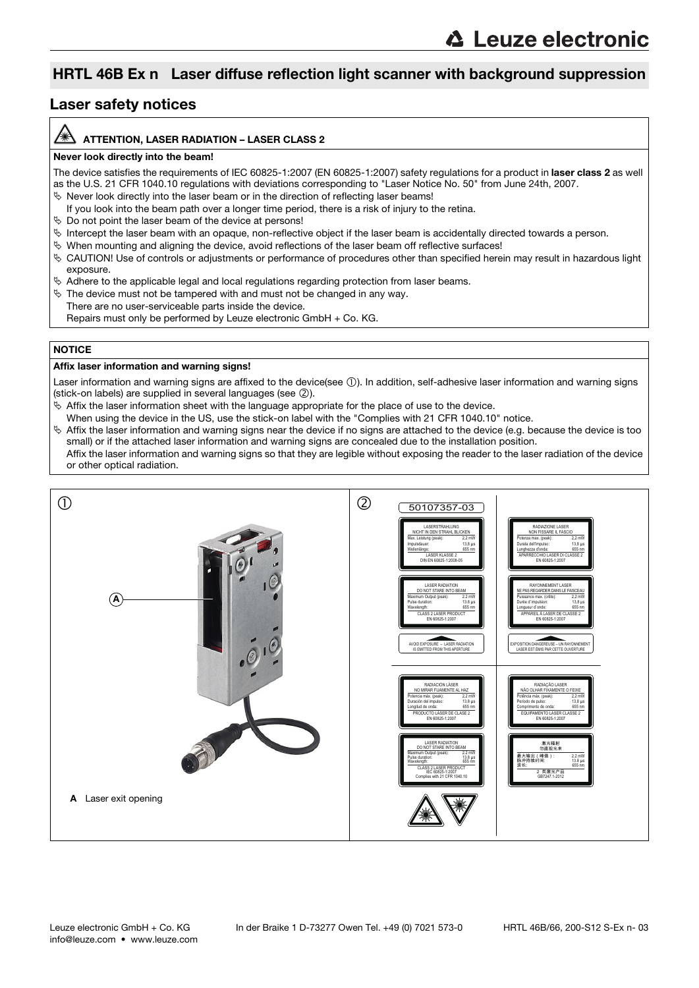### HRTL 46B Ex n Laser diffuse reflection light scanner with background suppression

### Laser safety notices

#### ATTENTION, LASER RADIATION – LASER CLASS 2

#### Never look directly into the beam!

The device satisfies the requirements of IEC 60825-1:2007 (EN 60825-1:2007) safety regulations for a product in laser class 2 as well as the U.S. 21 CFR 1040.10 regulations with deviations corresponding to "Laser Notice No. 50" from June 24th, 2007.

- $\%$  Never look directly into the laser beam or in the direction of reflecting laser beams!
- If you look into the beam path over a longer time period, there is a risk of injury to the retina.
- $\%$  Do not point the laser beam of the device at persons!
- $\%$  Intercept the laser beam with an opaque, non-reflective object if the laser beam is accidentally directed towards a person.
- When mounting and aligning the device, avoid reflections of the laser beam off reflective surfaces!
- CAUTION! Use of controls or adjustments or performance of procedures other than specified herein may result in hazardous light exposure.
- $\%$  Adhere to the applicable legal and local regulations regarding protection from laser beams.
- $\%$  The device must not be tampered with and must not be changed in any way.
- There are no user-serviceable parts inside the device.
	- Repairs must only be performed by Leuze electronic GmbH + Co. KG.

#### **NOTICE**

#### Affix laser information and warning signs!

Laser information and warning signs are affixed to the device(see 1). In addition, self-adhesive laser information and warning signs (stick-on labels) are supplied in several languages (see 2).

- $\&$  Affix the laser information sheet with the language appropriate for the place of use to the device.
- When using the device in the US, use the stick-on label with the "Complies with 21 CFR 1040.10" notice.
- $\%$  Affix the laser information and warning signs near the device if no signs are attached to the device (e.g. because the device is too small) or if the attached laser information and warning signs are concealed due to the installation position.

Affix the laser information and warning signs so that they are legible without exposing the reader to the laser radiation of the device or other optical radiation.